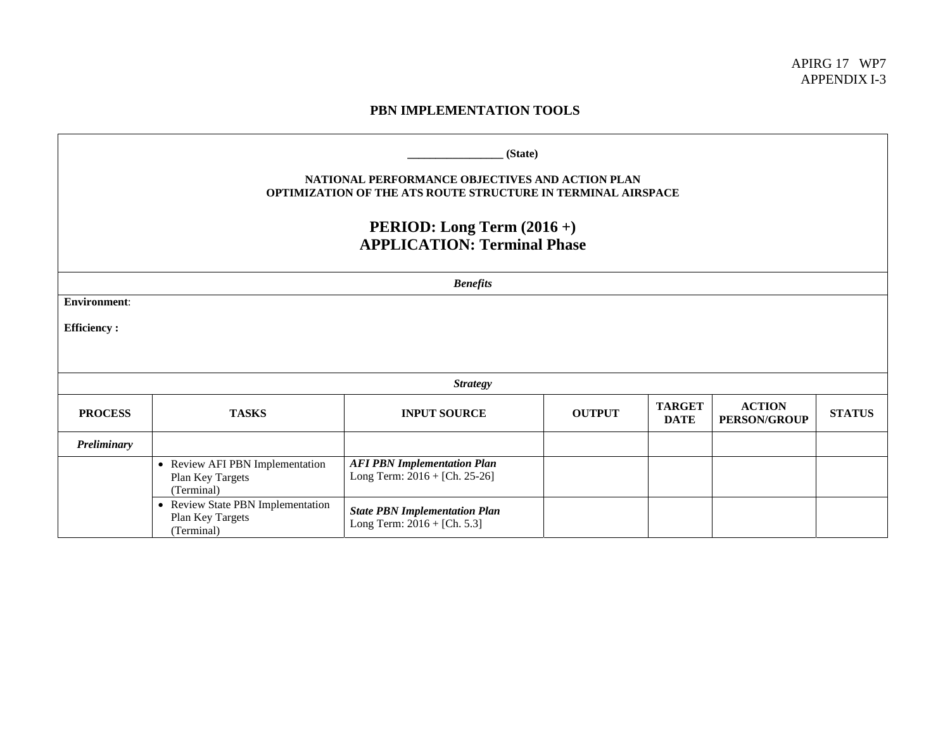## **PBN IMPLEMENTATION TOOLS**

| (State)<br>NATIONAL PERFORMANCE OBJECTIVES AND ACTION PLAN<br>OPTIMIZATION OF THE ATS ROUTE STRUCTURE IN TERMINAL AIRSPACE<br><b>PERIOD:</b> Long Term $(2016 +)$<br><b>APPLICATION: Terminal Phase</b> |                                                                     |                                                                       |               |                              |                                      |               |  |
|---------------------------------------------------------------------------------------------------------------------------------------------------------------------------------------------------------|---------------------------------------------------------------------|-----------------------------------------------------------------------|---------------|------------------------------|--------------------------------------|---------------|--|
| <b>Benefits</b>                                                                                                                                                                                         |                                                                     |                                                                       |               |                              |                                      |               |  |
| <b>Environment:</b>                                                                                                                                                                                     |                                                                     |                                                                       |               |                              |                                      |               |  |
| <b>Efficiency:</b>                                                                                                                                                                                      |                                                                     |                                                                       |               |                              |                                      |               |  |
|                                                                                                                                                                                                         |                                                                     |                                                                       |               |                              |                                      |               |  |
| <b>Strategy</b>                                                                                                                                                                                         |                                                                     |                                                                       |               |                              |                                      |               |  |
| <b>PROCESS</b>                                                                                                                                                                                          | <b>TASKS</b>                                                        | <b>INPUT SOURCE</b>                                                   | <b>OUTPUT</b> | <b>TARGET</b><br><b>DATE</b> | <b>ACTION</b><br><b>PERSON/GROUP</b> | <b>STATUS</b> |  |
| Preliminary                                                                                                                                                                                             |                                                                     |                                                                       |               |                              |                                      |               |  |
|                                                                                                                                                                                                         | • Review AFI PBN Implementation<br>Plan Key Targets<br>(Terminal)   | <b>AFI PBN Implementation Plan</b><br>Long Term: $2016 + [Ch. 25-26]$ |               |                              |                                      |               |  |
|                                                                                                                                                                                                         | • Review State PBN Implementation<br>Plan Key Targets<br>(Terminal) | <b>State PBN Implementation Plan</b><br>Long Term: 2016 + [Ch. 5.3]   |               |                              |                                      |               |  |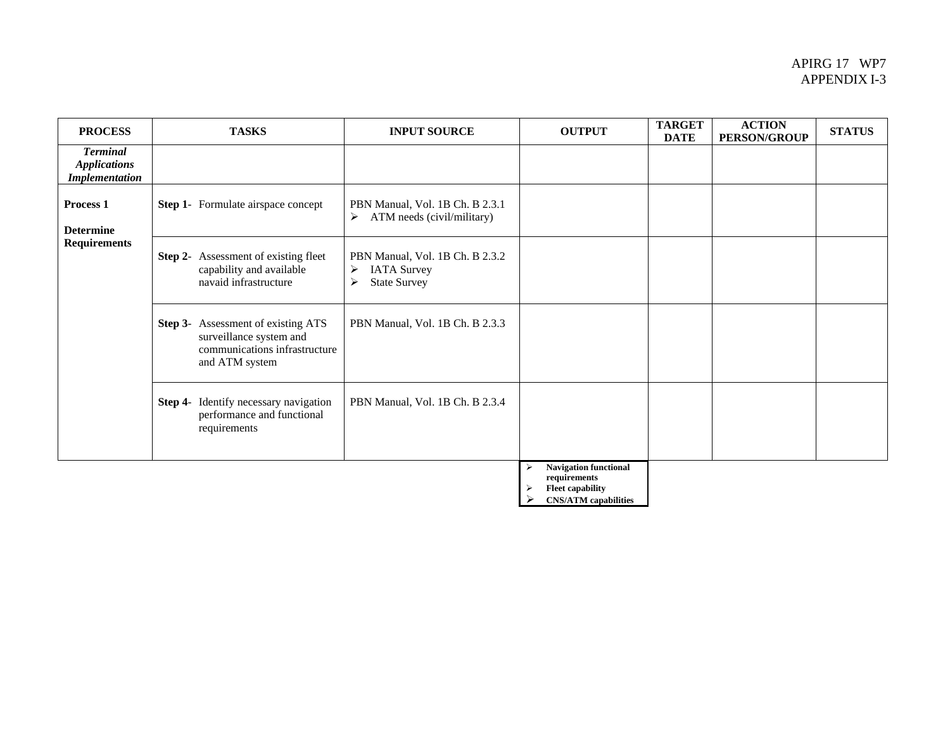## APIRG 17 WP7 APPENDIX I-3

| <b>PROCESS</b>                                                  | <b>TASKS</b>                                                                                                            | <b>INPUT SOURCE</b>                                                                                        | <b>OUTPUT</b>                                                                     | <b>TARGET</b><br><b>DATE</b> | <b>ACTION</b><br><b>PERSON/GROUP</b> | <b>STATUS</b> |
|-----------------------------------------------------------------|-------------------------------------------------------------------------------------------------------------------------|------------------------------------------------------------------------------------------------------------|-----------------------------------------------------------------------------------|------------------------------|--------------------------------------|---------------|
| <b>Terminal</b><br><b>Applications</b><br><b>Implementation</b> |                                                                                                                         |                                                                                                            |                                                                                   |                              |                                      |               |
| <b>Process 1</b><br><b>Determine</b><br><b>Requirements</b>     | <b>Step 1-</b> Formulate airspace concept                                                                               | PBN Manual, Vol. 1B Ch. B 2.3.1<br>ATM needs (civil/military)<br>$\triangleright$                          |                                                                                   |                              |                                      |               |
|                                                                 | <b>Step 2-</b> Assessment of existing fleet<br>capability and available<br>navaid infrastructure                        | PBN Manual, Vol. 1B Ch. B 2.3.2<br><b>IATA Survey</b><br>≻<br>$\blacktriangleright$<br><b>State Survey</b> |                                                                                   |                              |                                      |               |
|                                                                 | <b>Step 3-</b> Assessment of existing ATS<br>surveillance system and<br>communications infrastructure<br>and ATM system | PBN Manual, Vol. 1B Ch. B 2.3.3                                                                            |                                                                                   |                              |                                      |               |
|                                                                 | Step 4- Identify necessary navigation<br>performance and functional<br>requirements                                     | PBN Manual, Vol. 1B Ch. B 2.3.4                                                                            |                                                                                   |                              |                                      |               |
|                                                                 |                                                                                                                         |                                                                                                            | <b>Navigation functional</b><br>⋗<br>requirements<br><b>Fleet capability</b><br>⋗ |                              |                                      |               |

¾ **CNS/ATM capabilities**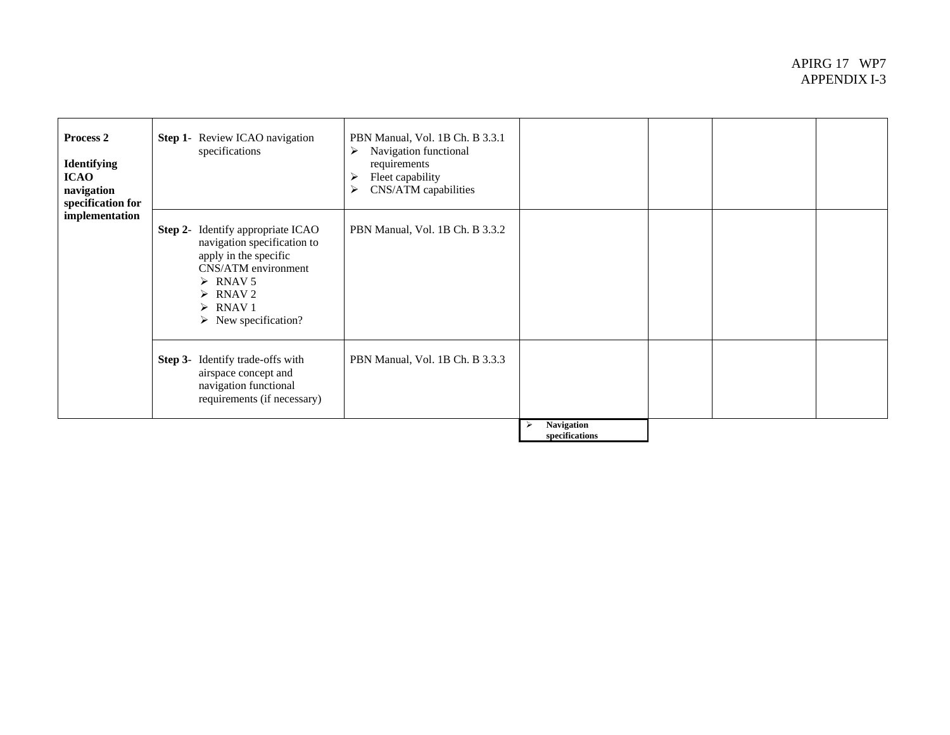## APIRG 17 WP7 APPENDIX I-3

| Process 2<br><b>Identifying</b><br><b>ICAO</b><br>navigation<br>specification for<br>implementation | Step 1- Review ICAO navigation<br>specifications                                                                                                                                                                                            | PBN Manual, Vol. 1B Ch. B 3.3.1<br>Navigation functional<br>➤<br>requirements<br>Fleet capability<br>≻<br>CNS/ATM capabilities<br>➤ |                                     |  |
|-----------------------------------------------------------------------------------------------------|---------------------------------------------------------------------------------------------------------------------------------------------------------------------------------------------------------------------------------------------|-------------------------------------------------------------------------------------------------------------------------------------|-------------------------------------|--|
|                                                                                                     | Identify appropriate ICAO<br>Step 2-<br>navigation specification to<br>apply in the specific<br>CNS/ATM environment<br>$\triangleright$ RNAV 5<br>$\triangleright$ RNAV 2<br>$\triangleright$ RNAV 1<br>$\triangleright$ New specification? | PBN Manual, Vol. 1B Ch. B 3.3.2                                                                                                     |                                     |  |
|                                                                                                     | Identify trade-offs with<br>Step 3-<br>airspace concept and<br>navigation functional<br>requirements (if necessary)                                                                                                                         | PBN Manual, Vol. 1B Ch. B 3.3.3                                                                                                     |                                     |  |
|                                                                                                     |                                                                                                                                                                                                                                             |                                                                                                                                     | <b>Navigation</b><br>specifications |  |